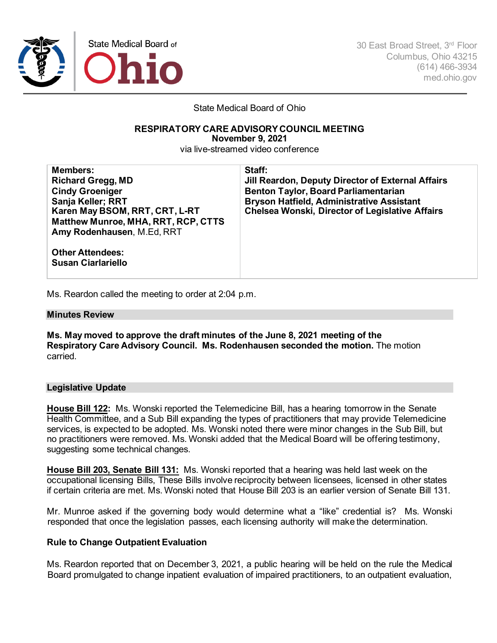

30 East Broad Street, 3rd Floor Columbus, Ohio 43215 (614) 466-3934 med.ohio.gov

State Medical Board of Ohio

# **RESPIRATORY CARE ADVISORYCOUNCIL MEETING**

**November 9, 2021**

via live-streamed video conference

| <b>Members:</b><br><b>Richard Gregg, MD</b><br><b>Cindy Groeniger</b><br>Sanja Keller; RRT<br>Karen May BSOM, RRT, CRT, L-RT<br><b>Matthew Munroe, MHA, RRT, RCP, CTTS</b><br>Amy Rodenhausen, M.Ed, RRT | Staff:<br>Jill Reardon, Deputy Director of External Affairs<br><b>Benton Taylor, Board Parliamentarian</b><br><b>Bryson Hatfield, Administrative Assistant</b><br><b>Chelsea Wonski, Director of Legislative Affairs</b> |
|----------------------------------------------------------------------------------------------------------------------------------------------------------------------------------------------------------|--------------------------------------------------------------------------------------------------------------------------------------------------------------------------------------------------------------------------|
| <b>Other Attendees:</b><br><b>Susan Ciarlariello</b>                                                                                                                                                     |                                                                                                                                                                                                                          |

Ms. Reardon called the meeting to order at 2:04 p.m.

#### **Minutes Review**

**Ms. May moved to approve the draft minutes of the June 8, 2021 meeting of the Respiratory Care Advisory Council. Ms. Rodenhausen seconded the motion.** The motion carried.

#### **Legislative Update**

**House Bill 122:** Ms. Wonski reported the Telemedicine Bill, has a hearing tomorrow in the Senate Health Committee, and a Sub Bill expanding the types of practitioners that may provide Telemedicine services, is expected to be adopted. Ms. Wonski noted there were minor changes in the Sub Bill, but no practitioners were removed. Ms. Wonski added that the Medical Board will be offering testimony, suggesting some technical changes.

**House Bill 203, Senate Bill 131:** Ms. Wonski reported that a hearing was held last week on the occupational licensing Bills, These Bills involve reciprocity between licensees, licensed in other states if certain criteria are met. Ms. Wonski noted that House Bill 203 is an earlier version of Senate Bill 131.

Mr. Munroe asked if the governing body would determine what a "like" credential is? Ms. Wonski responded that once the legislation passes, each licensing authority will make the determination.

# **Rule to Change Outpatient Evaluation**

Ms. Reardon reported that on December 3, 2021, a public hearing will be held on the rule the Medical Board promulgated to change inpatient evaluation of impaired practitioners, to an outpatient evaluation,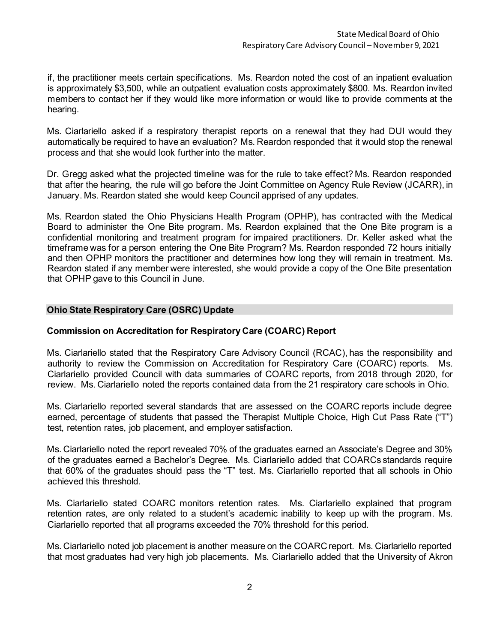if, the practitioner meets certain specifications. Ms. Reardon noted the cost of an inpatient evaluation is approximately \$3,500, while an outpatient evaluation costs approximately \$800. Ms. Reardon invited members to contact her if they would like more information or would like to provide comments at the hearing.

Ms. Ciarlariello asked if a respiratory therapist reports on a renewal that they had DUI would they automatically be required to have an evaluation? Ms. Reardon responded that it would stop the renewal process and that she would look further into the matter.

Dr. Gregg asked what the projected timeline was for the rule to take effect? Ms. Reardon responded that after the hearing, the rule will go before the Joint Committee on Agency Rule Review (JCARR), in January. Ms. Reardon stated she would keep Council apprised of any updates.

Ms. Reardon stated the Ohio Physicians Health Program (OPHP), has contracted with the Medical Board to administer the One Bite program. Ms. Reardon explained that the One Bite program is a confidential monitoring and treatment program for impaired practitioners. Dr. Keller asked what the timeframe was for a person entering the One Bite Program? Ms. Reardon responded 72 hours initially and then OPHP monitors the practitioner and determines how long they will remain in treatment. Ms. Reardon stated if any member were interested, she would provide a copy of the One Bite presentation that OPHP gave to this Council in June.

# **Ohio State Respiratory Care (OSRC) Update**

# **Commission on Accreditation for Respiratory Care (COARC) Report**

Ms. Ciarlariello stated that the Respiratory Care Advisory Council (RCAC), has the responsibility and authority to review the Commission on Accreditation for Respiratory Care (COARC) reports. Ms. Ciarlariello provided Council with data summaries of COARC reports, from 2018 through 2020, for review. Ms. Ciarlariello noted the reports contained data from the 21 respiratory care schools in Ohio.

Ms. Ciarlariello reported several standards that are assessed on the COARC reports include degree earned, percentage of students that passed the Therapist Multiple Choice, High Cut Pass Rate ("T") test, retention rates, job placement, and employer satisfaction.

Ms. Ciarlariello noted the report revealed 70% of the graduates earned an Associate's Degree and 30% of the graduates earned a Bachelor's Degree. Ms. Ciarlariello added that COARCs standards require that 60% of the graduates should pass the "T" test. Ms. Ciarlariello reported that all schools in Ohio achieved this threshold.

Ms. Ciarlariello stated COARC monitors retention rates. Ms. Ciarlariello explained that program retention rates, are only related to a student's academic inability to keep up with the program. Ms. Ciarlariello reported that all programs exceeded the 70% threshold for this period.

Ms. Ciarlariello noted job placement is another measure on the COARC report. Ms. Ciarlariello reported that most graduates had very high job placements. Ms. Ciarlariello added that the University of Akron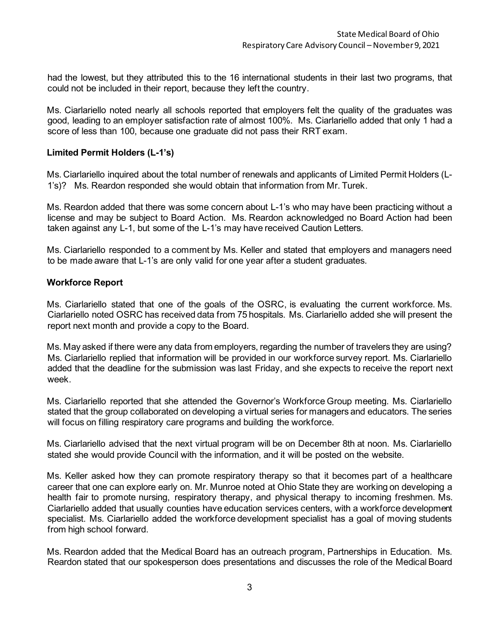had the lowest, but they attributed this to the 16 international students in their last two programs, that could not be included in their report, because they left the country.

Ms. Ciarlariello noted nearly all schools reported that employers felt the quality of the graduates was good, leading to an employer satisfaction rate of almost 100%. Ms. Ciarlariello added that only 1 had a score of less than 100, because one graduate did not pass their RRT exam.

### **Limited Permit Holders (L-1's)**

Ms. Ciarlariello inquired about the total number of renewals and applicants of Limited Permit Holders (L-1's)? Ms. Reardon responded she would obtain that information from Mr. Turek.

Ms. Reardon added that there was some concern about L-1's who may have been practicing without a license and may be subject to Board Action. Ms. Reardon acknowledged no Board Action had been taken against any L-1, but some of the L-1's may have received Caution Letters.

Ms. Ciarlariello responded to a comment by Ms. Keller and stated that employers and managers need to be made aware that L-1's are only valid for one year after a student graduates.

#### **Workforce Report**

Ms. Ciarlariello stated that one of the goals of the OSRC, is evaluating the current workforce. Ms. Ciarlariello noted OSRC has received data from 75 hospitals. Ms. Ciarlariello added she will present the report next month and provide a copy to the Board.

Ms. May asked if there were any data from employers, regarding the number of travelers they are using? Ms. Ciarlariello replied that information will be provided in our workforce survey report. Ms. Ciarlariello added that the deadline for the submission was last Friday, and she expects to receive the report next week.

Ms. Ciarlariello reported that she attended the Governor's Workforce Group meeting. Ms. Ciarlariello stated that the group collaborated on developing a virtual series for managers and educators. The series will focus on filling respiratory care programs and building the workforce.

Ms. Ciarlariello advised that the next virtual program will be on December 8th at noon. Ms. Ciarlariello stated she would provide Council with the information, and it will be posted on the website.

Ms. Keller asked how they can promote respiratory therapy so that it becomes part of a healthcare career that one can explore early on. Mr. Munroe noted at Ohio State they are working on developing a health fair to promote nursing, respiratory therapy, and physical therapy to incoming freshmen. Ms. Ciarlariello added that usually counties have education services centers, with a workforce development specialist. Ms. Ciarlariello added the workforce development specialist has a goal of moving students from high school forward.

Ms. Reardon added that the Medical Board has an outreach program, Partnerships in Education. Ms. Reardon stated that our spokesperson does presentations and discusses the role of the Medical Board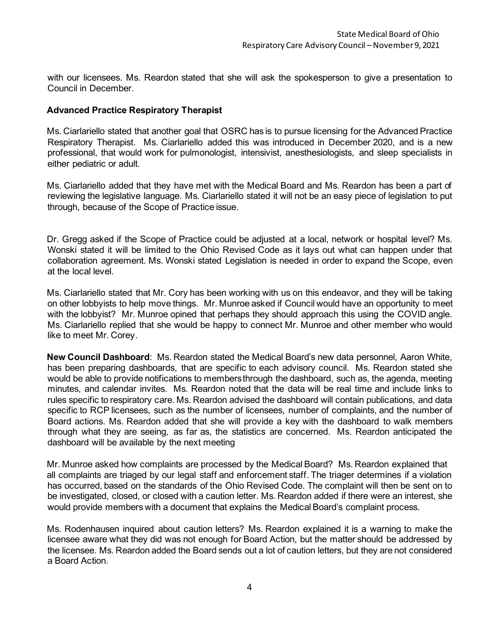with our licensees. Ms. Reardon stated that she will ask the spokesperson to give a presentation to Council in December.

# **Advanced Practice Respiratory Therapist**

Ms. Ciarlariello stated that another goal that OSRC has is to pursue licensing for the Advanced Practice Respiratory Therapist. Ms. Ciarlariello added this was introduced in December 2020, and is a new professional, that would work for pulmonologist, intensivist, anesthesiologists, and sleep specialists in either pediatric or adult.

Ms. Ciarlariello added that they have met with the Medical Board and Ms. Reardon has been a part of reviewing the legislative language. Ms. Ciarlariello stated it will not be an easy piece of legislation to put through, because of the Scope of Practice issue.

Dr. Gregg asked if the Scope of Practice could be adjusted at a local, network or hospital level? Ms. Wonski stated it will be limited to the Ohio Revised Code as it lays out what can happen under that collaboration agreement. Ms. Wonski stated Legislation is needed in order to expand the Scope, even at the local level.

Ms. Ciarlariello stated that Mr. Cory has been working with us on this endeavor, and they will be taking on other lobbyists to help move things. Mr. Munroe asked if Council would have an opportunity to meet with the lobbyist? Mr. Munroe opined that perhaps they should approach this using the COVID angle. Ms. Ciarlariello replied that she would be happy to connect Mr. Munroe and other member who would like to meet Mr. Corey.

**New Council Dashboard**: Ms. Reardon stated the Medical Board's new data personnel, Aaron White, has been preparing dashboards, that are specific to each advisory council. Ms. Reardon stated she would be able to provide notifications to members through the dashboard, such as, the agenda, meeting minutes, and calendar invites. Ms. Reardon noted that the data will be real time and include links to rules specific to respiratory care. Ms. Reardon advised the dashboard will contain publications, and data specific to RCP licensees, such as the number of licensees, number of complaints, and the number of Board actions. Ms. Reardon added that she will provide a key with the dashboard to walk members through what they are seeing, as far as, the statistics are concerned. Ms. Reardon anticipated the dashboard will be available by the next meeting

Mr. Munroe asked how complaints are processed by the Medical Board? Ms. Reardon explained that all complaints are triaged by our legal staff and enforcement staff. The triager determines if a violation has occurred, based on the standards of the Ohio Revised Code. The complaint will then be sent on to be investigated, closed, or closed with a caution letter. Ms. Reardon added if there were an interest, she would provide members with a document that explains the Medical Board's complaint process.

Ms. Rodenhausen inquired about caution letters? Ms. Reardon explained it is a warning to make the licensee aware what they did was not enough for Board Action, but the matter should be addressed by the licensee. Ms. Reardon added the Board sends out a lot of caution letters, but they are not considered a Board Action.